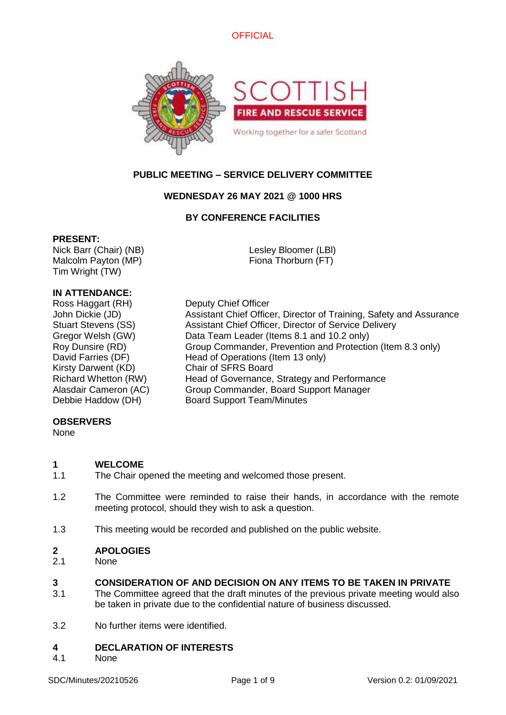



# **PUBLIC MEETING – SERVICE DELIVERY COMMITTEE**

# **WEDNESDAY 26 MAY 2021 @ 1000 HRS**

# **BY CONFERENCE FACILITIES**

### **PRESENT:**

Nick Barr (Chair) (NB) Malcolm Payton (MP) Tim Wright (TW)

Lesley Bloomer (LBl) Fiona Thorburn (FT)

### **IN ATTENDANCE:**

Ross Haggart (RH) Deputy Chief Officer Kirsty Darwent (KD)

John Dickie (JD) Assistant Chief Officer, Director of Training, Safety and Assurance Stuart Stevens (SS) Assistant Chief Officer, Director of Service Delivery Gregor Welsh (GW) Data Team Leader (Items 8.1 and 10.2 only) Roy Dunsire (RD) Group Commander, Prevention and Protection (Item 8.3 only) David Farries (DF) Head of Operations (Item 13 only)<br>Kirsty Darwent (KD) Chair of SFRS Board Richard Whetton (RW) Head of Governance, Strategy and Performance Alasdair Cameron (AC) Group Commander, Board Support Manager Debbie Haddow (DH) Board Support Team/Minutes

### **OBSERVERS**

None

# **1 WELCOME**

- 1.1 The Chair opened the meeting and welcomed those present.
- 1.2 The Committee were reminded to raise their hands, in accordance with the remote meeting protocol, should they wish to ask a question.
- 1.3 This meeting would be recorded and published on the public website.

### **2 APOLOGIES**

2.1 None

### **3 CONSIDERATION OF AND DECISION ON ANY ITEMS TO BE TAKEN IN PRIVATE**

- 3.1 The Committee agreed that the draft minutes of the previous private meeting would also be taken in private due to the confidential nature of business discussed.
- 3.2 No further items were identified.

# **4 DECLARATION OF INTERESTS**

4.1 None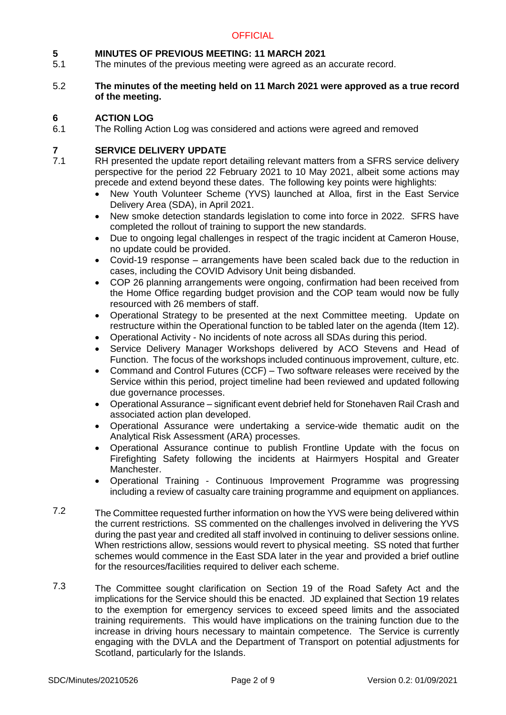# **5 MINUTES OF PREVIOUS MEETING: 11 MARCH 2021**

- 5.1 The minutes of the previous meeting were agreed as an accurate record.
- 5.2 **The minutes of the meeting held on 11 March 2021 were approved as a true record of the meeting.**

# **6 ACTION LOG**

6.1 The Rolling Action Log was considered and actions were agreed and removed

# **7 SERVICE DELIVERY UPDATE**

- 7.1 RH presented the update report detailing relevant matters from a SFRS service delivery perspective for the period 22 February 2021 to 10 May 2021, albeit some actions may precede and extend beyond these dates. The following key points were highlights:
	- New Youth Volunteer Scheme (YVS) launched at Alloa, first in the East Service Delivery Area (SDA), in April 2021.
	- New smoke detection standards legislation to come into force in 2022. SFRS have completed the rollout of training to support the new standards.
	- Due to ongoing legal challenges in respect of the tragic incident at Cameron House, no update could be provided.
	- Covid-19 response arrangements have been scaled back due to the reduction in cases, including the COVID Advisory Unit being disbanded.
	- COP 26 planning arrangements were ongoing, confirmation had been received from the Home Office regarding budget provision and the COP team would now be fully resourced with 26 members of staff.
	- Operational Strategy to be presented at the next Committee meeting. Update on restructure within the Operational function to be tabled later on the agenda (Item 12).
	- Operational Activity No incidents of note across all SDAs during this period.
	- Service Delivery Manager Workshops delivered by ACO Stevens and Head of Function. The focus of the workshops included continuous improvement, culture, etc.
	- Command and Control Futures (CCF) Two software releases were received by the Service within this period, project timeline had been reviewed and updated following due governance processes.
	- Operational Assurance significant event debrief held for Stonehaven Rail Crash and associated action plan developed.
	- Operational Assurance were undertaking a service-wide thematic audit on the Analytical Risk Assessment (ARA) processes.
	- Operational Assurance continue to publish Frontline Update with the focus on Firefighting Safety following the incidents at Hairmyers Hospital and Greater Manchester.
	- Operational Training Continuous Improvement Programme was progressing including a review of casualty care training programme and equipment on appliances.
- 7.2 The Committee requested further information on how the YVS were being delivered within the current restrictions. SS commented on the challenges involved in delivering the YVS during the past year and credited all staff involved in continuing to deliver sessions online. When restrictions allow, sessions would revert to physical meeting. SS noted that further schemes would commence in the East SDA later in the year and provided a brief outline for the resources/facilities required to deliver each scheme.
- 7.3 The Committee sought clarification on Section 19 of the Road Safety Act and the implications for the Service should this be enacted. JD explained that Section 19 relates to the exemption for emergency services to exceed speed limits and the associated training requirements. This would have implications on the training function due to the increase in driving hours necessary to maintain competence. The Service is currently engaging with the DVLA and the Department of Transport on potential adjustments for Scotland, particularly for the Islands.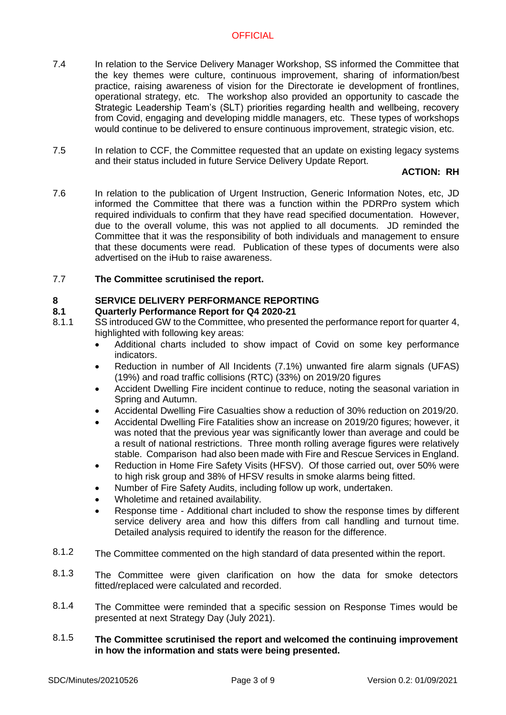- 7.4 In relation to the Service Delivery Manager Workshop, SS informed the Committee that the key themes were culture, continuous improvement, sharing of information/best practice, raising awareness of vision for the Directorate ie development of frontlines, operational strategy, etc. The workshop also provided an opportunity to cascade the Strategic Leadership Team's (SLT) priorities regarding health and wellbeing, recovery from Covid, engaging and developing middle managers, etc. These types of workshops would continue to be delivered to ensure continuous improvement, strategic vision, etc.
- 7.5 In relation to CCF, the Committee requested that an update on existing legacy systems and their status included in future Service Delivery Update Report.

# **ACTION: RH**

7.6 In relation to the publication of Urgent Instruction, Generic Information Notes, etc, JD informed the Committee that there was a function within the PDRPro system which required individuals to confirm that they have read specified documentation. However, due to the overall volume, this was not applied to all documents. JD reminded the Committee that it was the responsibility of both individuals and management to ensure that these documents were read. Publication of these types of documents were also advertised on the iHub to raise awareness.

#### 7.7 **The Committee scrutinised the report.**

# **8 SERVICE DELIVERY PERFORMANCE REPORTING**

### **8.1 Quarterly Performance Report for Q4 2020-21**

- 8.1.1 SS introduced GW to the Committee, who presented the performance report for quarter 4, highlighted with following key areas:
	- Additional charts included to show impact of Covid on some key performance indicators.
	- Reduction in number of All Incidents (7.1%) unwanted fire alarm signals (UFAS) (19%) and road traffic collisions (RTC) (33%) on 2019/20 figures
	- Accident Dwelling Fire incident continue to reduce, noting the seasonal variation in Spring and Autumn.
	- Accidental Dwelling Fire Casualties show a reduction of 30% reduction on 2019/20.
	- Accidental Dwelling Fire Fatalities show an increase on 2019/20 figures; however, it was noted that the previous year was significantly lower than average and could be a result of national restrictions. Three month rolling average figures were relatively stable. Comparison had also been made with Fire and Rescue Services in England.
	- Reduction in Home Fire Safety Visits (HFSV). Of those carried out, over 50% were to high risk group and 38% of HFSV results in smoke alarms being fitted.
	- Number of Fire Safety Audits, including follow up work, undertaken.
	- Wholetime and retained availability.
	- Response time Additional chart included to show the response times by different service delivery area and how this differs from call handling and turnout time. Detailed analysis required to identify the reason for the difference.
- 8.1.2 The Committee commented on the high standard of data presented within the report.
- 8.1.3 The Committee were given clarification on how the data for smoke detectors fitted/replaced were calculated and recorded.
- 8.1.4 The Committee were reminded that a specific session on Response Times would be presented at next Strategy Day (July 2021).

#### 8.1.5 **The Committee scrutinised the report and welcomed the continuing improvement in how the information and stats were being presented.**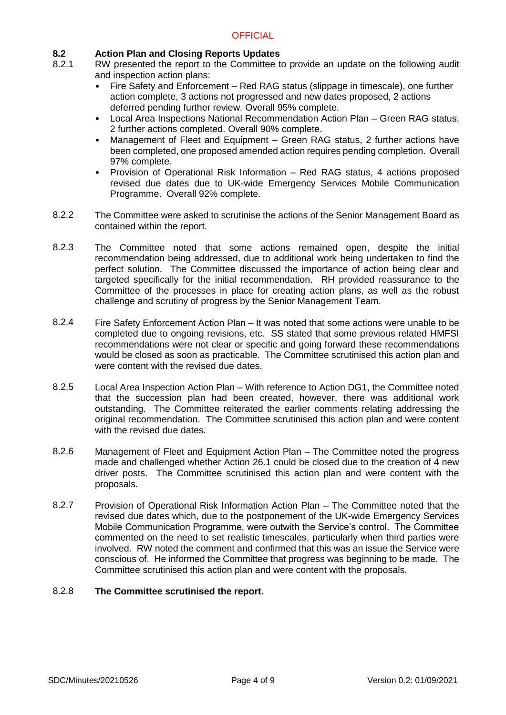# **8.2 Action Plan and Closing Reports Updates**

- 8.2.1 RW presented the report to the Committee to provide an update on the following audit and inspection action plans:
	- Fire Safety and Enforcement Red RAG status (slippage in timescale), one further action complete, 3 actions not progressed and new dates proposed, 2 actions deferred pending further review. Overall 95% complete.
	- Local Area Inspections National Recommendation Action Plan Green RAG status, 2 further actions completed. Overall 90% complete.
	- Management of Fleet and Equipment Green RAG status, 2 further actions have been completed, one proposed amended action requires pending completion. Overall 97% complete.
	- Provision of Operational Risk Information Red RAG status, 4 actions proposed revised due dates due to UK-wide Emergency Services Mobile Communication Programme. Overall 92% complete.
- 8.2.2 The Committee were asked to scrutinise the actions of the Senior Management Board as contained within the report.
- 8.2.3 The Committee noted that some actions remained open, despite the initial recommendation being addressed, due to additional work being undertaken to find the perfect solution. The Committee discussed the importance of action being clear and targeted specifically for the initial recommendation. RH provided reassurance to the Committee of the processes in place for creating action plans, as well as the robust challenge and scrutiny of progress by the Senior Management Team.
- 8.2.4 Fire Safety Enforcement Action Plan – It was noted that some actions were unable to be completed due to ongoing revisions, etc. SS stated that some previous related HMFSI recommendations were not clear or specific and going forward these recommendations would be closed as soon as practicable. The Committee scrutinised this action plan and were content with the revised due dates.
- 8.2.5 Local Area Inspection Action Plan – With reference to Action DG1, the Committee noted that the succession plan had been created, however, there was additional work outstanding. The Committee reiterated the earlier comments relating addressing the original recommendation. The Committee scrutinised this action plan and were content with the revised due dates.
- 8.2.6 Management of Fleet and Equipment Action Plan – The Committee noted the progress made and challenged whether Action 26.1 could be closed due to the creation of 4 new driver posts. The Committee scrutinised this action plan and were content with the proposals.
- 8.2.7 Provision of Operational Risk Information Action Plan – The Committee noted that the revised due dates which, due to the postponement of the UK-wide Emergency Services Mobile Communication Programme, were outwith the Service's control. The Committee commented on the need to set realistic timescales, particularly when third parties were involved. RW noted the comment and confirmed that this was an issue the Service were conscious of. He informed the Committee that progress was beginning to be made. The Committee scrutinised this action plan and were content with the proposals.

#### 8.2.8 **The Committee scrutinised the report.**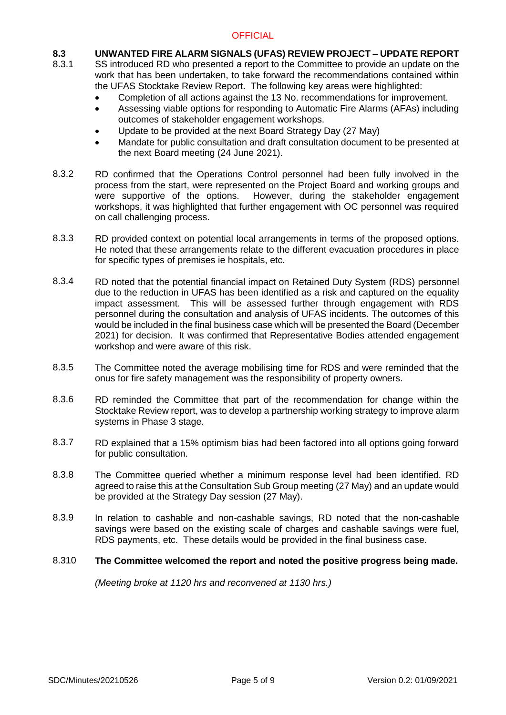#### **8.3 UNWANTED FIRE ALARM SIGNALS (UFAS) REVIEW PROJECT – UPDATE REPORT**

- 8.3.1 SS introduced RD who presented a report to the Committee to provide an update on the work that has been undertaken, to take forward the recommendations contained within the UFAS Stocktake Review Report. The following key areas were highlighted:
	- Completion of all actions against the 13 No. recommendations for improvement.
	- Assessing viable options for responding to Automatic Fire Alarms (AFAs) including outcomes of stakeholder engagement workshops.
	- Update to be provided at the next Board Strategy Day (27 May)
	- Mandate for public consultation and draft consultation document to be presented at the next Board meeting (24 June 2021).
- 8.3.2 RD confirmed that the Operations Control personnel had been fully involved in the process from the start, were represented on the Project Board and working groups and were supportive of the options. However, during the stakeholder engagement workshops, it was highlighted that further engagement with OC personnel was required on call challenging process.
- 8.3.3 RD provided context on potential local arrangements in terms of the proposed options. He noted that these arrangements relate to the different evacuation procedures in place for specific types of premises ie hospitals, etc.
- 8.3.4 RD noted that the potential financial impact on Retained Duty System (RDS) personnel due to the reduction in UFAS has been identified as a risk and captured on the equality impact assessment. This will be assessed further through engagement with RDS personnel during the consultation and analysis of UFAS incidents. The outcomes of this would be included in the final business case which will be presented the Board (December 2021) for decision. It was confirmed that Representative Bodies attended engagement workshop and were aware of this risk.
- 8.3.5 The Committee noted the average mobilising time for RDS and were reminded that the onus for fire safety management was the responsibility of property owners.
- 8.3.6 RD reminded the Committee that part of the recommendation for change within the Stocktake Review report, was to develop a partnership working strategy to improve alarm systems in Phase 3 stage.
- 8.3.7 RD explained that a 15% optimism bias had been factored into all options going forward for public consultation.
- 8.3.8 The Committee queried whether a minimum response level had been identified. RD agreed to raise this at the Consultation Sub Group meeting (27 May) and an update would be provided at the Strategy Day session (27 May).
- 8.3.9 In relation to cashable and non-cashable savings, RD noted that the non-cashable savings were based on the existing scale of charges and cashable savings were fuel, RDS payments, etc. These details would be provided in the final business case.

#### 8.310 **The Committee welcomed the report and noted the positive progress being made.**

*(Meeting broke at 1120 hrs and reconvened at 1130 hrs.)*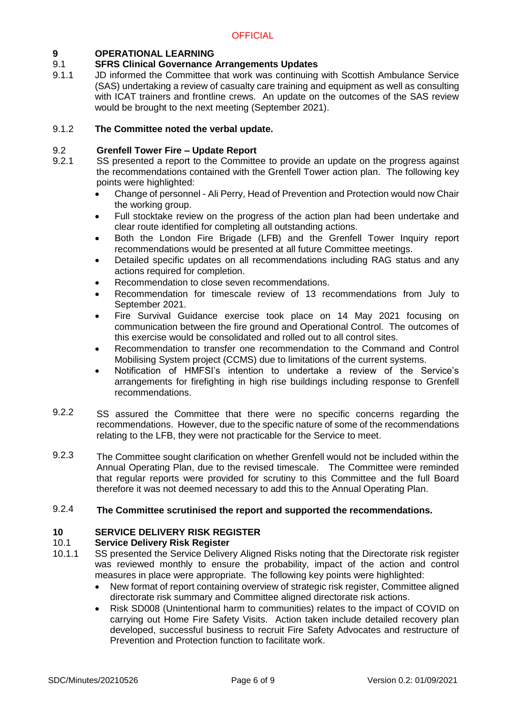# **9 OPERATIONAL LEARNING**

#### 9.1 **SFRS Clinical Governance Arrangements Updates**

9.1.1 JD informed the Committee that work was continuing with Scottish Ambulance Service (SAS) undertaking a review of casualty care training and equipment as well as consulting with ICAT trainers and frontline crews. An update on the outcomes of the SAS review would be brought to the next meeting (September 2021).

#### 9.1.2 **The Committee noted the verbal update.**

### 9.2 **Grenfell Tower Fire – Update Report**

- 9.2.1 SS presented a report to the Committee to provide an update on the progress against the recommendations contained with the Grenfell Tower action plan. The following key points were highlighted:
	- Change of personnel Ali Perry, Head of Prevention and Protection would now Chair the working group.
	- Full stocktake review on the progress of the action plan had been undertake and clear route identified for completing all outstanding actions.
	- Both the London Fire Brigade (LFB) and the Grenfell Tower Inquiry report recommendations would be presented at all future Committee meetings.
	- Detailed specific updates on all recommendations including RAG status and any actions required for completion.
	- Recommendation to close seven recommendations.
	- Recommendation for timescale review of 13 recommendations from July to September 2021.
	- Fire Survival Guidance exercise took place on 14 May 2021 focusing on communication between the fire ground and Operational Control. The outcomes of this exercise would be consolidated and rolled out to all control sites.
	- Recommendation to transfer one recommendation to the Command and Control Mobilising System project (CCMS) due to limitations of the current systems.
	- Notification of HMFSI's intention to undertake a review of the Service's arrangements for firefighting in high rise buildings including response to Grenfell recommendations.
- 9.2.2 SS assured the Committee that there were no specific concerns regarding the recommendations. However, due to the specific nature of some of the recommendations relating to the LFB, they were not practicable for the Service to meet.
- 9.2.3 The Committee sought clarification on whether Grenfell would not be included within the Annual Operating Plan, due to the revised timescale. The Committee were reminded that regular reports were provided for scrutiny to this Committee and the full Board therefore it was not deemed necessary to add this to the Annual Operating Plan.

#### 9.2.4 **The Committee scrutinised the report and supported the recommendations.**

### **10 SERVICE DELIVERY RISK REGISTER**

# 10.1 **Service Delivery Risk Register**

- 10.1.1 SS presented the Service Delivery Aligned Risks noting that the Directorate risk register was reviewed monthly to ensure the probability, impact of the action and control measures in place were appropriate. The following key points were highlighted:
	- New format of report containing overview of strategic risk register, Committee aligned directorate risk summary and Committee aligned directorate risk actions.
	- Risk SD008 (Unintentional harm to communities) relates to the impact of COVID on carrying out Home Fire Safety Visits. Action taken include detailed recovery plan developed, successful business to recruit Fire Safety Advocates and restructure of Prevention and Protection function to facilitate work.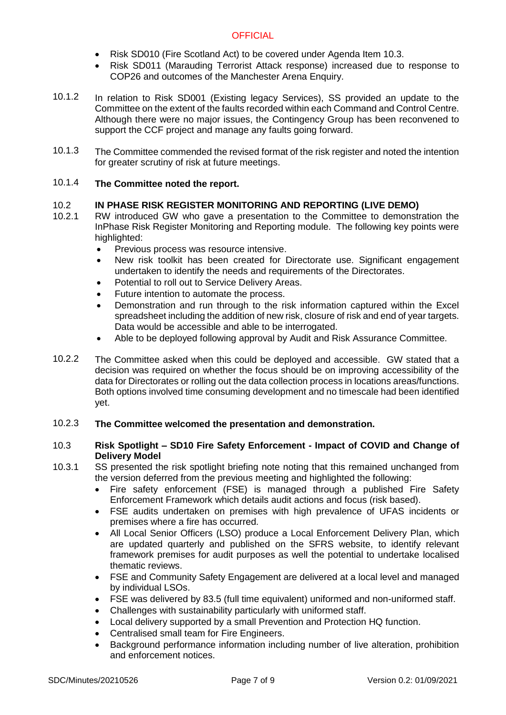- Risk SD010 (Fire Scotland Act) to be covered under Agenda Item 10.3.
- Risk SD011 (Marauding Terrorist Attack response) increased due to response to COP26 and outcomes of the Manchester Arena Enquiry.
- 10.1.2 In relation to Risk SD001 (Existing legacy Services), SS provided an update to the Committee on the extent of the faults recorded within each Command and Control Centre. Although there were no major issues, the Contingency Group has been reconvened to support the CCF project and manage any faults going forward.
- 10.1.3 The Committee commended the revised format of the risk register and noted the intention for greater scrutiny of risk at future meetings.

#### 10.1.4 **The Committee noted the report.**

# 10.2 **IN PHASE RISK REGISTER MONITORING AND REPORTING (LIVE DEMO)**

- 10.2.1 RW introduced GW who gave a presentation to the Committee to demonstration the InPhase Risk Register Monitoring and Reporting module. The following key points were highlighted:
	- Previous process was resource intensive.
	- New risk toolkit has been created for Directorate use. Significant engagement undertaken to identify the needs and requirements of the Directorates.
	- Potential to roll out to Service Delivery Areas.
	- Future intention to automate the process.
	- Demonstration and run through to the risk information captured within the Excel spreadsheet including the addition of new risk, closure of risk and end of year targets. Data would be accessible and able to be interrogated.
	- Able to be deployed following approval by Audit and Risk Assurance Committee.
- 10.2.2 The Committee asked when this could be deployed and accessible. GW stated that a decision was required on whether the focus should be on improving accessibility of the data for Directorates or rolling out the data collection process in locations areas/functions. Both options involved time consuming development and no timescale had been identified yet.

#### 10.2.3 **The Committee welcomed the presentation and demonstration.**

### 10.3 **Risk Spotlight – SD10 Fire Safety Enforcement - Impact of COVID and Change of Delivery Model**

- 10.3.1 SS presented the risk spotlight briefing note noting that this remained unchanged from the version deferred from the previous meeting and highlighted the following:
	- Fire safety enforcement (FSE) is managed through a published Fire Safety Enforcement Framework which details audit actions and focus (risk based).
	- FSE audits undertaken on premises with high prevalence of UFAS incidents or premises where a fire has occurred.
	- All Local Senior Officers (LSO) produce a Local Enforcement Delivery Plan, which are updated quarterly and published on the SFRS website, to identify relevant framework premises for audit purposes as well the potential to undertake localised thematic reviews.
	- FSE and Community Safety Engagement are delivered at a local level and managed by individual LSOs.
	- FSE was delivered by 83.5 (full time equivalent) uniformed and non-uniformed staff.
	- Challenges with sustainability particularly with uniformed staff.
	- Local delivery supported by a small Prevention and Protection HQ function.
	- Centralised small team for Fire Engineers.
	- Background performance information including number of live alteration, prohibition and enforcement notices.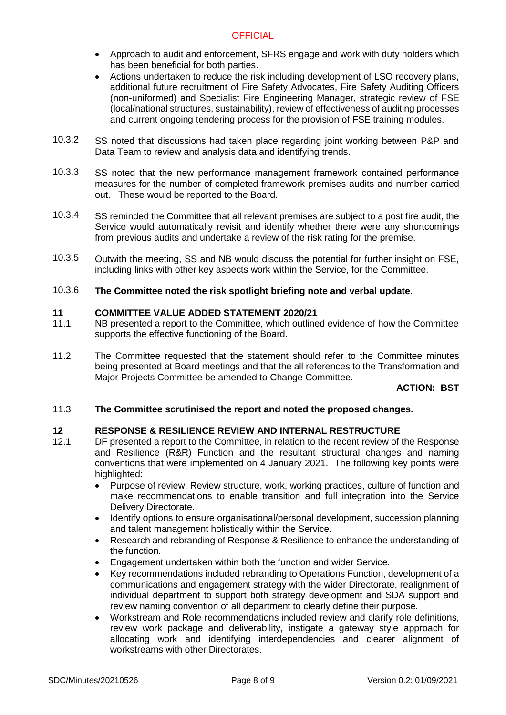- Approach to audit and enforcement, SFRS engage and work with duty holders which has been beneficial for both parties.
- Actions undertaken to reduce the risk including development of LSO recovery plans, additional future recruitment of Fire Safety Advocates, Fire Safety Auditing Officers (non-uniformed) and Specialist Fire Engineering Manager, strategic review of FSE (local/national structures, sustainability), review of effectiveness of auditing processes and current ongoing tendering process for the provision of FSE training modules.
- 10.3.2 SS noted that discussions had taken place regarding joint working between P&P and Data Team to review and analysis data and identifying trends.
- 10.3.3 SS noted that the new performance management framework contained performance measures for the number of completed framework premises audits and number carried out. These would be reported to the Board.
- 10.3.4 SS reminded the Committee that all relevant premises are subject to a post fire audit, the Service would automatically revisit and identify whether there were any shortcomings from previous audits and undertake a review of the risk rating for the premise.
- 10.3.5 Outwith the meeting, SS and NB would discuss the potential for further insight on FSE, including links with other key aspects work within the Service, for the Committee.

#### 10.3.6 **The Committee noted the risk spotlight briefing note and verbal update.**

### **11 COMMITTEE VALUE ADDED STATEMENT 2020/21**

- 11.1 NB presented a report to the Committee, which outlined evidence of how the Committee supports the effective functioning of the Board.
- 11.2 The Committee requested that the statement should refer to the Committee minutes being presented at Board meetings and that the all references to the Transformation and Major Projects Committee be amended to Change Committee.

# **ACTION: BST**

#### 11.3 **The Committee scrutinised the report and noted the proposed changes.**

# **12 RESPONSE & RESILIENCE REVIEW AND INTERNAL RESTRUCTURE**

- 12.1 DF presented a report to the Committee, in relation to the recent review of the Response and Resilience (R&R) Function and the resultant structural changes and naming conventions that were implemented on 4 January 2021. The following key points were highlighted:
	- Purpose of review: Review structure, work, working practices, culture of function and make recommendations to enable transition and full integration into the Service Delivery Directorate.
	- Identify options to ensure organisational/personal development, succession planning and talent management holistically within the Service.
	- Research and rebranding of Response & Resilience to enhance the understanding of the function.
	- Engagement undertaken within both the function and wider Service.
	- Key recommendations included rebranding to Operations Function, development of a communications and engagement strategy with the wider Directorate, realignment of individual department to support both strategy development and SDA support and review naming convention of all department to clearly define their purpose.
	- Workstream and Role recommendations included review and clarify role definitions, review work package and deliverability, instigate a gateway style approach for allocating work and identifying interdependencies and clearer alignment of workstreams with other Directorates.